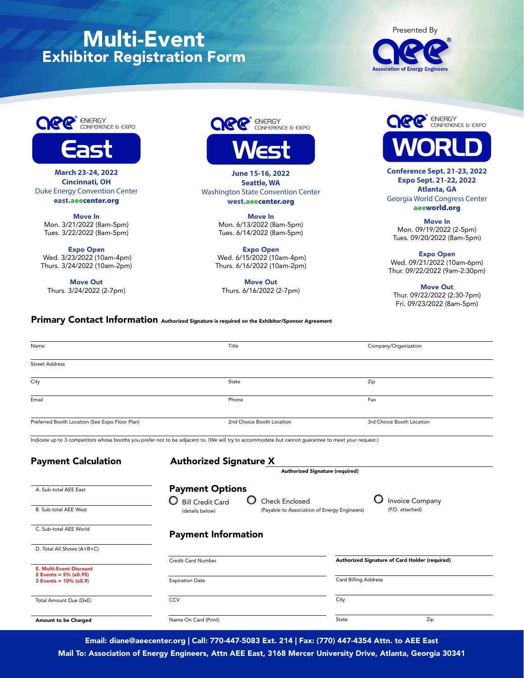# Multi-Event Exhibitor Registration Form







**March 23-24, 2022 Cincinnati, OH**  Duke Energy Convention Center east.aeecenter.org

Move In Mon. 3/21/2022 (8am-5pm) Tues. 3/22/2022 (8am-5pm)

Expo Open Wed. 3/23/2022 (10am-4pm) Thurs. 3/24/2022 (10am-2pm)

Move Out Thurs. 3/24/2022 (2-7pm)



**June 15-16, 2022 Seattle, WA** Washington State Convention Center west.aeecenter.org

> Move In Mon. 6/13/2022 (8am-5pm) Tues. 6/14/2022 (8am-5pm)

Expo Open Wed. 6/15/2022 (10am-4pm) Thurs. 6/16/2022 (10am-2pm)

Move Out Thurs. 6/16/2022 (2-7pm)



**Conference Sept. 21-23, 2022 Expo Sept. 21-22, 2022 Atlanta, GA** Georgia World Congress Center aeeworld.org

Move In Mon. 09/19/2022 (2-5pm) Tues. 09/20/2022 (8am-5pm)

Expo Open Wed. 09/21/2022 (10am-6pm) Thur. 09/22/2022 (9am-2:30pm)

Move Out Thur. 09/22/2022 (2:30-7pm) Fri. 09/23/2022 (8am-5pm)

# Primary Contact Information Authorized Signature is required on the Exhibitor/Sponsor Agreement

| Name                                                       | Title                                                                                                                                               | Company/Organization                           |  |
|------------------------------------------------------------|-----------------------------------------------------------------------------------------------------------------------------------------------------|------------------------------------------------|--|
| <b>Street Address</b>                                      |                                                                                                                                                     |                                                |  |
| City                                                       | State                                                                                                                                               | Zip                                            |  |
| Email                                                      | Phone                                                                                                                                               | Fax                                            |  |
| Preferred Booth Location (See Expo Floor Plan)             | 2nd Choice Booth Location                                                                                                                           | 3rd Choice Booth Location                      |  |
|                                                            | Indicate up to 3 competitors whose booths you prefer not to be adjacent to. (We will try to accommodate but cannot guarantee to meet your request.) |                                                |  |
| <b>Payment Calculation</b>                                 | <b>Authorized Signature X</b>                                                                                                                       |                                                |  |
|                                                            | Authorized Signature (required)                                                                                                                     |                                                |  |
| A. Sub-total AEE East                                      | <b>Payment Options</b>                                                                                                                              |                                                |  |
| B. Sub-total AEE West                                      | O<br><b>Bill Credit Card</b><br>Check Enclosed<br>(Payable to Association of Energy Engineers)<br>(details below)                                   | <b>Invoice Company</b><br>(P.O. attached)      |  |
| C. Sub-total AEE World                                     | <b>Payment Information</b>                                                                                                                          |                                                |  |
| D. Total All Shows (A+B+C)                                 |                                                                                                                                                     |                                                |  |
| <b>E. Multi-Event Discount</b><br>2 Events = $5\%$ (x0.95) | Credit Card Number                                                                                                                                  | Authorized Signature of Card Holder (required) |  |
| $3$ Events = $10% (x0.9)$                                  | <b>Expiration Date</b>                                                                                                                              | Card Billing Address                           |  |
| Total Amount Due (DxE)                                     | <b>CCV</b>                                                                                                                                          | City                                           |  |
| Amount to be Charged                                       | Name On Card (Print)                                                                                                                                | State<br>Zip                                   |  |

Email: diane@aeecenter.org | Call: 770-447-5083 Ext. 214 | Fax: (770) 447-4354 Attn. to AEE East

Mail To: Association of Energy Engineers, Attn AEE East, 3168 Mercer University Drive, Atlanta, Georgia 30341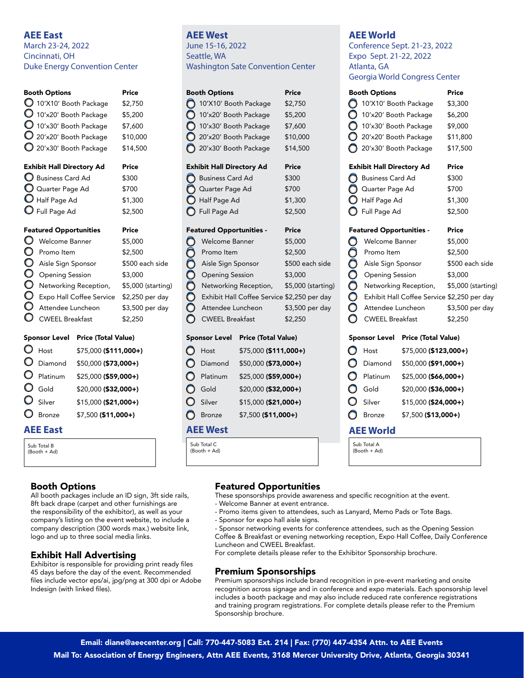# **AEE East**

March 23-24, 2022 Cincinnati, OH Duke Energy Convention Center

|           | <b>Booth Options</b>             | Price              |
|-----------|----------------------------------|--------------------|
|           | 10'X10' Booth Package            | \$2,750            |
|           | 10'x20' Booth Package            | \$5,200            |
|           | 10'x30' Booth Package            | \$7,600            |
|           | 20'x20' Booth Package            | \$10,000           |
|           | 20'x30' Booth Package            | \$14,500           |
|           | <b>Exhibit Hall Directory Ad</b> | Price              |
|           | Business Card Ad                 | \$300              |
|           | Q Quarter Page Ad                | \$700              |
|           | Half Page Ad                     | \$1,300            |
|           | S Full Page Ad                   | \$2,500            |
|           | <b>Featured Opportunities</b>    | Price              |
| O         | Welcome Banner                   | \$5,000            |
| O         | Promo Item                       | \$2,500            |
| $\bullet$ | Aisle Sign Sponsor               | \$500 each side    |
| O         | <b>Opening Session</b>           | \$3,000            |
| $\circ$   | Networking Reception,            | \$5,000 (starting) |
| O         | Expo Hall Coffee Service         | \$2,250 per day    |

# CWEEL Breakfast \$2,250

Attendee Luncheon \$3,500 per day

| Sponsor Level |                       | Price (Total Value)   |  |
|---------------|-----------------------|-----------------------|--|
|               | $\bigcirc$ Host       | \$75,000 (\$111,000+) |  |
|               | $\mathbf{O}$ Diamond  | \$50,000 (\$73,000+)  |  |
|               | $\mathbf{O}$ Platinum | \$25,000 (\$59,000+)  |  |
|               | $\mathbf{O}$ Gold     | \$20,000 (\$32,000+)  |  |
|               | $\mathbf{O}$ Silver   | \$15,000 (\$21,000+)  |  |
|               | O Bronze              | \$7,500 (\$11,000+)   |  |
|               |                       |                       |  |

# **AEE East**

Sub Total B (Booth + Ad)

# Booth Options

All booth packages include an ID sign, 3ft side rails, 8ft back drape (carpet and other furnishings are the responsibility of the exhibitor), as well as your company's listing on the event website, to include a company description (300 words max.) website link, logo and up to three social media links.

# Exhibit Hall Advertising

Exhibitor is responsible for providing print ready files 45 days before the day of the event. Recommended files include vector eps/ai, jpg/png at 300 dpi or Adobe Indesign (with linked files).

# **AEE West** June 15-16, 2022 Seattle, WA Washington Sate Convention Center

| <b>Booth Options</b>             | Price    |
|----------------------------------|----------|
| 10'X10' Booth Package            | \$2,750  |
| 10'x20' Booth Package            | \$5,200  |
| 10'x30' Booth Package            | \$7.600  |
| 20'x20' Booth Package            | \$10,000 |
| 20'x30' Booth Package            | \$14,500 |
|                                  |          |
|                                  |          |
| <b>Exhibit Hall Directory Ad</b> | Price    |
| <b>Business Card Ad</b>          | \$300    |
| Quarter Page Ad                  | \$700    |
| Half Page Ad                     | \$1,300  |
| Full Page Ad                     | \$2,500  |

### Featured Opportunities - Price

| <b>Welcome Banner</b>                       | \$5,000            |
|---------------------------------------------|--------------------|
| Promo Item                                  | \$2,500            |
| Aisle Sign Sponsor                          | \$500 each side    |
| <b>Opening Session</b>                      | \$3,000            |
| Networking Reception,                       | \$5,000 (starting) |
| Exhibit Hall Coffee Service \$2,250 per day |                    |
| Attendee Luncheon                           | \$3,500 per day    |
| <b>CWEEL Breakfast</b>                      | 2,250              |

# Sponsor Level Price (Total Value)

| C         | Host          | \$75,000 (\$111,000+) |
|-----------|---------------|-----------------------|
| C         | Diamond       | \$50,000 (\$73,000+)  |
| $\bullet$ | Platinum      | \$25,000 (\$59,000+)  |
| O         | Gold          | \$20,000 (\$32,000+)  |
| O         | Silver        | \$15,000 (\$21,000+)  |
| ( )       | <b>Bronze</b> | \$7,500 (\$11,000+)   |

# **AEE West**

Sub Total C (Booth + Ad)

# **AEE World**

Conference Sept. 21-23, 2022 Expo Sept. 21-22, 2022 Atlanta, GA Georgia World Congress Center

|                  | <b>Booth Options</b>             | Price                      |                                             |
|------------------|----------------------------------|----------------------------|---------------------------------------------|
|                  | 10'X10' Booth Package            |                            | \$3,300                                     |
|                  | 10'x20' Booth Package            |                            | \$6,200                                     |
|                  | 10'x30' Booth Package            |                            | \$9,000                                     |
|                  | 20'x20' Booth Package            |                            | \$11,800                                    |
|                  | 20'x30' Booth Package            |                            | \$17,500                                    |
|                  | <b>Exhibit Hall Directory Ad</b> |                            | Price                                       |
|                  | Business Card Ad                 |                            | \$300                                       |
|                  | Q Quarter Page Ad                |                            | \$700                                       |
|                  | Half Page Ad                     |                            | \$1,300                                     |
|                  | ) Full Page Ad                   |                            | \$2,500                                     |
|                  | <b>Featured Opportunities -</b>  |                            | Price                                       |
|                  | Welcome Banner                   |                            | \$5,000                                     |
|                  | Promo Item                       |                            | \$2,500                                     |
|                  | Aisle Sign Sponsor               |                            | \$500 each side                             |
| 000000           | <b>Opening Session</b>           |                            | \$3,000                                     |
|                  |                                  | Networking Reception,      | \$5,000 (starting)                          |
|                  |                                  |                            | Exhibit Hall Coffee Service \$2,250 per day |
|                  | Attendee Luncheon                |                            | \$3,500 per day                             |
|                  | <b>CWEEL Breakfast</b>           |                            | \$2,250                                     |
|                  | <b>Sponsor Level</b>             | <b>Price (Total Value)</b> |                                             |
| 0                | Host                             | \$75,000 (\$123,000+)      |                                             |
| $\circ$          | Diamond                          | \$50,000 (\$91,000+)       |                                             |
| O                | Platinum                         | \$25,000 (\$66,000+)       |                                             |
|                  | $\bigcirc$ Gold                  | \$20,000 (\$36,000+)       |                                             |
| $\circ$          | Silver                           | \$15,000 (\$24,000+)       |                                             |
|                  | <b>O</b> Bronze                  | $$7,500$ (\$13,000+)       |                                             |
| <b>AEE World</b> |                                  |                            |                                             |
| Sub Total A      |                                  |                            |                                             |
| (Booth + Ad)     |                                  |                            |                                             |

# Featured Opportunities

These sponsorships provide awareness and specific recognition at the event.

- Welcome Banner at event entrance.
- Promo items given to attendees, such as Lanyard, Memo Pads or Tote Bags.
- Sponsor for expo hall aisle signs.
- Sponsor networking events for conference attendees, such as the Opening Session Coffee & Breakfast or evening networking reception, Expo Hall Coffee, Daily Conference Luncheon and CWEEL Breakfast.

For complete details please refer to the Exhibitor Sponsorship brochure.

# Premium Sponsorships

Premium sponsorships include brand recognition in pre-event marketing and onsite recognition across signage and in conference and expo materials. Each sponsorship level includes a booth package and may also include reduced rate conference registrations and training program registrations. For complete details please refer to the Premium Sponsorship brochure.